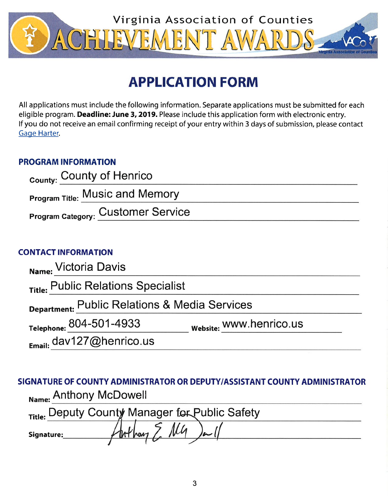

# **APPLICATION FORM**

All applications must include the following information. Separate applications must be submitted for each eligible program. Deadline: June 3, 2019. Please include this application form with electronic entry. If you do not receive an email confirming receipt of your entry within 3 days of submission, please contact Gage Harter.

# **PROGRAM INFORMATION**

| <sub>County:</sub> County of Henrico      |  |
|-------------------------------------------|--|
| <b>Program Title: Music and Memory</b>    |  |
| <b>Program Category: Customer Service</b> |  |

# **CONTACT INFORMATION**

| Name: Victoria Davis                          |                         |  |  |  |
|-----------------------------------------------|-------------------------|--|--|--|
| Title: Public Relations Specialist            |                         |  |  |  |
| Department: Public Relations & Media Services |                         |  |  |  |
| Telephone: 804-501-4933                       | Website: WWW.henrico.us |  |  |  |
| Email: dav127@henrico.us                      |                         |  |  |  |

SIGNATURE OF COUNTY ADMINISTRATOR OR DEPUTY/ASSISTANT COUNTY ADMINISTRATOR Name: Anthony McDowell

| Title: Deputy County Manager for Public Safety |                 |      |  |  |
|------------------------------------------------|-----------------|------|--|--|
| Signature:                                     | $\frac{1}{100}$ | أسعا |  |  |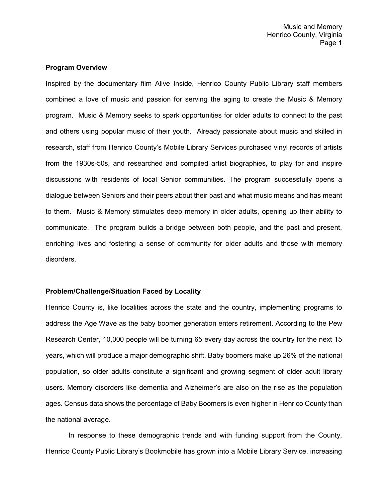## **Program Overview**

Inspired by the documentary film Alive Inside, Henrico County Public Library staff members combined a love of music and passion for serving the aging to create the Music & Memory program. Music & Memory seeks to spark opportunities for older adults to connect to the past and others using popular music of their youth. Already passionate about music and skilled in research, staff from Henrico County's Mobile Library Services purchased vinyl records of artists from the 1930s-50s, and researched and compiled artist biographies, to play for and inspire discussions with residents of local Senior communities. The program successfully opens a dialogue between Seniors and their peers about their past and what music means and has meant to them. Music & Memory stimulates deep memory in older adults, opening up their ability to communicate. The program builds a bridge between both people, and the past and present, enriching lives and fostering a sense of community for older adults and those with memory disorders.

## **Problem/Challenge/Situation Faced by Locality**

Henrico County is, like localities across the state and the country, implementing programs to address the Age Wave as the baby boomer generation enters retirement. According to the Pew Research Center, 10,000 people will be turning 65 every day across the country for the next 15 years, which will produce a major demographic shift. Baby boomers make up 26% of the national population, so older adults constitute a significant and growing segment of older adult library users. Memory disorders like dementia and Alzheimer's are also on the rise as the population ages. Census data shows the percentage of Baby Boomers is even higher in Henrico County than the national average.

In response to these demographic trends and with funding support from the County, Henrico County Public Library's Bookmobile has grown into a Mobile Library Service, increasing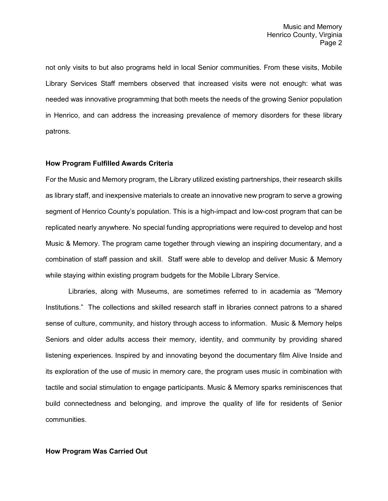not only visits to but also programs held in local Senior communities. From these visits, Mobile Library Services Staff members observed that increased visits were not enough: what was needed was innovative programming that both meets the needs of the growing Senior population in Henrico, and can address the increasing prevalence of memory disorders for these library patrons.

# **How Program Fulfilled Awards Criteria**

For the Music and Memory program, the Library utilized existing partnerships, their research skills as library staff, and inexpensive materials to create an innovative new program to serve a growing segment of Henrico County's population. This is a high-impact and low-cost program that can be replicated nearly anywhere. No special funding appropriations were required to develop and host Music & Memory. The program came together through viewing an inspiring documentary, and a combination of staff passion and skill. Staff were able to develop and deliver Music & Memory while staying within existing program budgets for the Mobile Library Service.

Libraries, along with Museums, are sometimes referred to in academia as "Memory Institutions." The collections and skilled research staff in libraries connect patrons to a shared sense of culture, community, and history through access to information. Music & Memory helps Seniors and older adults access their memory, identity, and community by providing shared listening experiences. Inspired by and innovating beyond the documentary film Alive Inside and its exploration of the use of music in memory care, the program uses music in combination with tactile and social stimulation to engage participants. Music & Memory sparks reminiscences that build connectedness and belonging, and improve the quality of life for residents of Senior communities.

# **How Program Was Carried Out**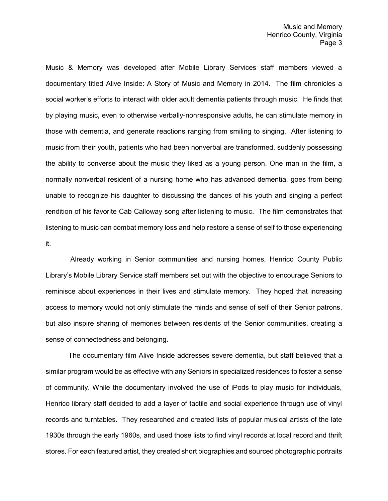Music & Memory was developed after Mobile Library Services staff members viewed a documentary titled Alive Inside: A Story of Music and Memory in 2014. The film chronicles a social worker's efforts to interact with older adult dementia patients through music. He finds that by playing music, even to otherwise verbally-nonresponsive adults, he can stimulate memory in those with dementia, and generate reactions ranging from smiling to singing. After listening to music from their youth, patients who had been nonverbal are transformed, suddenly possessing the ability to converse about the music they liked as a young person. One man in the film, a normally nonverbal resident of a nursing home who has advanced dementia, goes from being unable to recognize his daughter to discussing the dances of his youth and singing a perfect rendition of his favorite Cab Calloway song after listening to music. The film demonstrates that listening to music can combat memory loss and help restore a sense of self to those experiencing it.

Already working in Senior communities and nursing homes, Henrico County Public Library's Mobile Library Service staff members set out with the objective to encourage Seniors to reminisce about experiences in their lives and stimulate memory. They hoped that increasing access to memory would not only stimulate the minds and sense of self of their Senior patrons, but also inspire sharing of memories between residents of the Senior communities, creating a sense of connectedness and belonging.

The documentary film Alive Inside addresses severe dementia, but staff believed that a similar program would be as effective with any Seniors in specialized residences to foster a sense of community. While the documentary involved the use of iPods to play music for individuals, Henrico library staff decided to add a layer of tactile and social experience through use of vinyl records and turntables. They researched and created lists of popular musical artists of the late 1930s through the early 1960s, and used those lists to find vinyl records at local record and thrift stores. For each featured artist, they created short biographies and sourced photographic portraits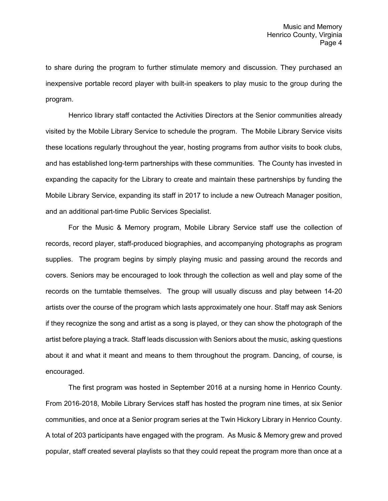to share during the program to further stimulate memory and discussion. They purchased an inexpensive portable record player with built-in speakers to play music to the group during the program.

Henrico library staff contacted the Activities Directors at the Senior communities already visited by the Mobile Library Service to schedule the program. The Mobile Library Service visits these locations regularly throughout the year, hosting programs from author visits to book clubs, and has established long-term partnerships with these communities. The County has invested in expanding the capacity for the Library to create and maintain these partnerships by funding the Mobile Library Service, expanding its staff in 2017 to include a new Outreach Manager position, and an additional part-time Public Services Specialist.

For the Music & Memory program, Mobile Library Service staff use the collection of records, record player, staff-produced biographies, and accompanying photographs as program supplies. The program begins by simply playing music and passing around the records and covers. Seniors may be encouraged to look through the collection as well and play some of the records on the turntable themselves. The group will usually discuss and play between 14-20 artists over the course of the program which lasts approximately one hour. Staff may ask Seniors if they recognize the song and artist as a song is played, or they can show the photograph of the artist before playing a track. Staff leads discussion with Seniors about the music, asking questions about it and what it meant and means to them throughout the program. Dancing, of course, is encouraged.

The first program was hosted in September 2016 at a nursing home in Henrico County. From 2016-2018, Mobile Library Services staff has hosted the program nine times, at six Senior communities, and once at a Senior program series at the Twin Hickory Library in Henrico County. A total of 203 participants have engaged with the program. As Music & Memory grew and proved popular, staff created several playlists so that they could repeat the program more than once at a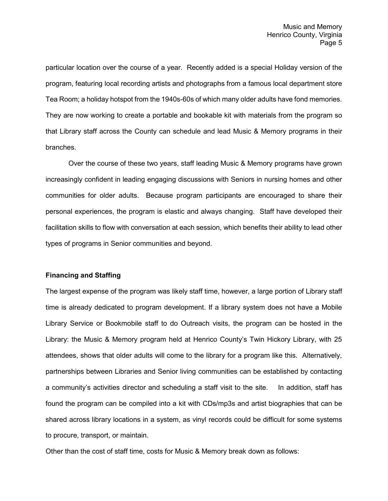particular location over the course of a year. Recently added is a special Holiday version of the program, featuring local recording artists and photographs from a famous local department store Tea Room; a holiday hotspot from the 1940s-60s of which many older adults have fond memories. They are now working to create a portable and bookable kit with materials from the program so that Library staff across the County can schedule and lead Music & Memory programs in their branches.

Over the course of these two years, staff leading Music & Memory programs have grown increasingly confident in leading engaging discussions with Seniors in nursing homes and other communities for older adults. Because program participants are encouraged to share their personal experiences, the program is elastic and always changing. Staff have developed their facilitation skills to flow with conversation at each session, which benefits their ability to lead other types of programs in Senior communities and beyond.

## **Financing and Staffing**

The largest expense of the program was likely staff time, however, a large portion of Library staff time is already dedicated to program development. If a library system does not have a Mobile Library Service or Bookmobile staff to do Outreach visits, the program can be hosted in the Library: the Music & Memory program held at Henrico County's Twin Hickory Library, with 25 attendees, shows that older adults will come to the library for a program like this. Alternatively, partnerships between Libraries and Senior living communities can be established by contacting a community's activities director and scheduling a staff visit to the site. In addition, staff has found the program can be compiled into a kit with CDs/mp3s and artist biographies that can be shared across library locations in a system, as vinyl records could be difficult for some systems to procure, transport, or maintain.

Other than the cost of staff time, costs for Music & Memory break down as follows: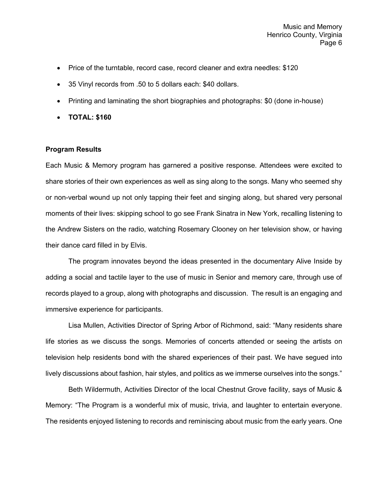- Price of the turntable, record case, record cleaner and extra needles: \$120
- 35 Vinyl records from .50 to 5 dollars each: \$40 dollars.
- Printing and laminating the short biographies and photographs: \$0 (done in-house)
- **TOTAL: \$160**

## **Program Results**

Each Music & Memory program has garnered a positive response. Attendees were excited to share stories of their own experiences as well as sing along to the songs. Many who seemed shy or non-verbal wound up not only tapping their feet and singing along, but shared very personal moments of their lives: skipping school to go see Frank Sinatra in New York, recalling listening to the Andrew Sisters on the radio, watching Rosemary Clooney on her television show, or having their dance card filled in by Elvis.

The program innovates beyond the ideas presented in the documentary Alive Inside by adding a social and tactile layer to the use of music in Senior and memory care, through use of records played to a group, along with photographs and discussion. The result is an engaging and immersive experience for participants.

Lisa Mullen, Activities Director of Spring Arbor of Richmond, said: "Many residents share life stories as we discuss the songs. Memories of concerts attended or seeing the artists on television help residents bond with the shared experiences of their past. We have segued into lively discussions about fashion, hair styles, and politics as we immerse ourselves into the songs."

Beth Wildermuth, Activities Director of the local Chestnut Grove facility, says of Music & Memory: "The Program is a wonderful mix of music, trivia, and laughter to entertain everyone. The residents enjoyed listening to records and reminiscing about music from the early years. One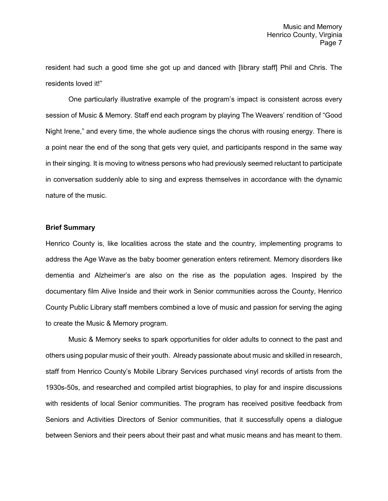resident had such a good time she got up and danced with [library staff] Phil and Chris. The residents loved it!"

One particularly illustrative example of the program's impact is consistent across every session of Music & Memory. Staff end each program by playing The Weavers' rendition of "Good Night Irene," and every time, the whole audience sings the chorus with rousing energy. There is a point near the end of the song that gets very quiet, and participants respond in the same way in their singing. It is moving to witness persons who had previously seemed reluctant to participate in conversation suddenly able to sing and express themselves in accordance with the dynamic nature of the music.

#### **Brief Summary**

Henrico County is, like localities across the state and the country, implementing programs to address the Age Wave as the baby boomer generation enters retirement. Memory disorders like dementia and Alzheimer's are also on the rise as the population ages. Inspired by the documentary film Alive Inside and their work in Senior communities across the County, Henrico County Public Library staff members combined a love of music and passion for serving the aging to create the Music & Memory program.

Music & Memory seeks to spark opportunities for older adults to connect to the past and others using popular music of their youth. Already passionate about music and skilled in research, staff from Henrico County's Mobile Library Services purchased vinyl records of artists from the 1930s-50s, and researched and compiled artist biographies, to play for and inspire discussions with residents of local Senior communities. The program has received positive feedback from Seniors and Activities Directors of Senior communities, that it successfully opens a dialogue between Seniors and their peers about their past and what music means and has meant to them.